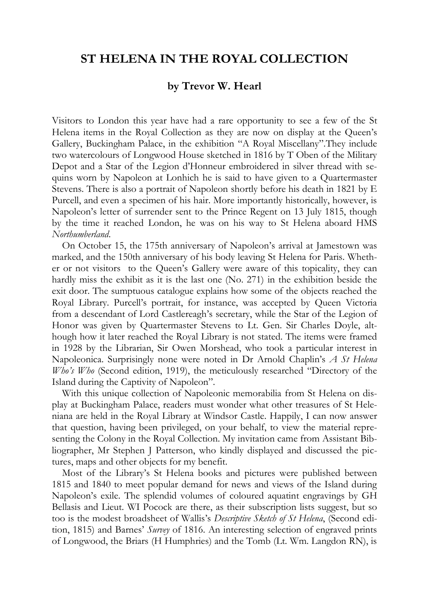## **ST HELENA IN THE ROYAL COLLECTION**

## **by Trevor W. Hearl**

Visitors to London this year have had a rare opportunity to see a few of the St Helena items in the Royal Collection as they are now on display at the Queen's Gallery, Buckingham Palace, in the exhibition "A Royal Miscellany".They include two watercolours of Longwood House sketched in 1816 by T Oben of the Military Depot and a Star of the Legion d'Honneur embroidered in silver thread with sequins worn by Napoleon at Lonhich he is said to have given to a Quartermaster Stevens. There is also a portrait of Napoleon shortly before his death in 1821 by E Purcell, and even a specimen of his hair. More importantly historically, however, is Napoleon's letter of surrender sent to the Prince Regent on 13 July 1815, though by the time it reached London, he was on his way to St Helena aboard HMS *Northumberland*.

On October 15, the 175th anniversary of Napoleon's arrival at Jamestown was marked, and the 150th anniversary of his body leaving St Helena for Paris. Whether or not visitors to the Queen's Gallery were aware of this topicality, they can hardly miss the exhibit as it is the last one (No. 271) in the exhibition beside the exit door. The sumptuous catalogue explains how some of the objects reached the Royal Library. Purcell's portrait, for instance, was accepted by Queen Victoria from a descendant of Lord Castlereagh's secretary, while the Star of the Legion of Honor was given by Quartermaster Stevens to Lt. Gen. Sir Charles Doyle, although how it later reached the Royal Library is not stated. The items were framed in 1928 by the Librarian, Sir Owen Morshead, who took a particular interest in Napoleonica. Surprisingly none were noted in Dr Arnold Chaplin's *A St Helena Who's Who* (Second edition, 1919), the meticulously researched "Directory of the Island during the Captivity of Napoleon".

With this unique collection of Napoleonic memorabilia from St Helena on display at Buckingham Palace, readers must wonder what other treasures of St Heleniana are held in the Royal Library at Windsor Castle. Happily, I can now answer that question, having been privileged, on your behalf, to view the material representing the Colony in the Royal Collection. My invitation came from Assistant Bibliographer, Mr Stephen J Patterson, who kindly displayed and discussed the pictures, maps and other objects for my benefit.

Most of the Library's St Helena books and pictures were published between 1815 and 1840 to meet popular demand for news and views of the Island during Napoleon's exile. The splendid volumes of coloured aquatint engravings by GH Bellasis and Lieut. WI Pocock are there, as their subscription lists suggest, but so too is the modest broadsheet of Wallis's *Descriptive Sketch of St Helena*, (Second edition, 1815) and Barnes' *Survey* of 1816. An interesting selection of engraved prints of Longwood, the Briars (H Humphries) and the Tomb (Lt. Wm. Langdon RN), is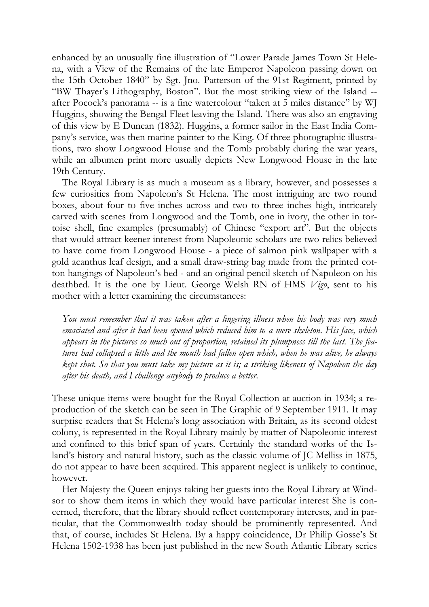enhanced by an unusually fine illustration of "Lower Parade James Town St Helena, with a View of the Remains of the late Emperor Napoleon passing down on the 15th October 1840" by Sgt. Jno. Patterson of the 91st Regiment, printed by "BW Thayer's Lithography, Boston". But the most striking view of the Island - after Pocock's panorama -- is a fine watercolour "taken at 5 miles distance" by WJ Huggins, showing the Bengal Fleet leaving the Island. There was also an engraving of this view by E Duncan (1832). Huggins, a former sailor in the East India Company's service, was then marine painter to the King. Of three photographic illustrations, two show Longwood House and the Tomb probably during the war years, while an albumen print more usually depicts New Longwood House in the late 19th Century.

The Royal Library is as much a museum as a library, however, and possesses a few curiosities from Napoleon's St Helena. The most intriguing are two round boxes, about four to five inches across and two to three inches high, intricately carved with scenes from Longwood and the Tomb, one in ivory, the other in tortoise shell, fine examples (presumably) of Chinese "export art". But the objects that would attract keener interest from Napoleonic scholars are two relics believed to have come from Longwood House - a piece of salmon pink wallpaper with a gold acanthus leaf design, and a small draw-string bag made from the printed cotton hangings of Napoleon's bed - and an original pencil sketch of Napoleon on his deathbed. It is the one by Lieut. George Welsh RN of HMS *Vigo*, sent to his mother with a letter examining the circumstances:

*You must remember that it was taken after a lingering illness when his body was very much emaciated and after it had been opened which reduced him to a mere skeleton. His face, which appears in the pictures so much out of proportion, retained its plumpness till the last. The features had collapsed a little and the mouth had fallen open which, when he was alive, he always kept shut. So that you must take my picture as it is; a striking likeness of Napoleon the day after his death, and I challenge anybody to produce a better.* 

These unique items were bought for the Royal Collection at auction in 1934; a reproduction of the sketch can be seen in The Graphic of 9 September 1911. It may surprise readers that St Helena's long association with Britain, as its second oldest colony, is represented in the Royal Library mainly by matter of Napoleonic interest and confined to this brief span of years. Certainly the standard works of the Island's history and natural history, such as the classic volume of JC Melliss in 1875, do not appear to have been acquired. This apparent neglect is unlikely to continue, however.

Her Majesty the Queen enjoys taking her guests into the Royal Library at Windsor to show them items in which they would have particular interest She is concerned, therefore, that the library should reflect contemporary interests, and in particular, that the Commonwealth today should be prominently represented. And that, of course, includes St Helena. By a happy coincidence, Dr Philip Gosse's St Helena 1502-1938 has been just published in the new South Atlantic Library series